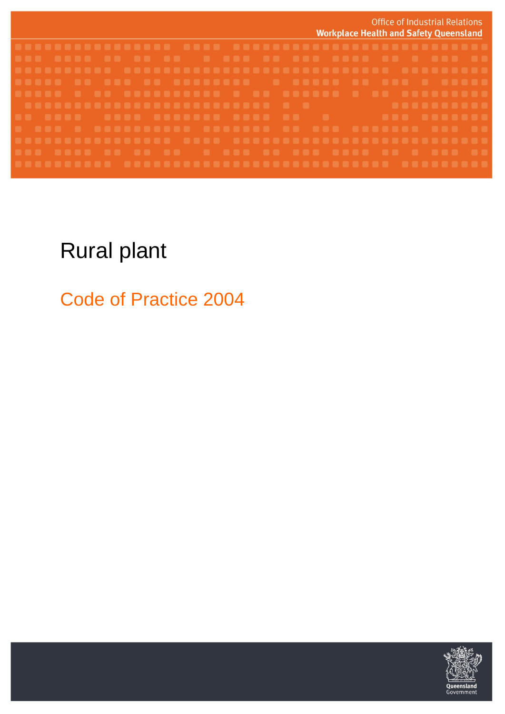

## Rural plant

Code of Practice 2004

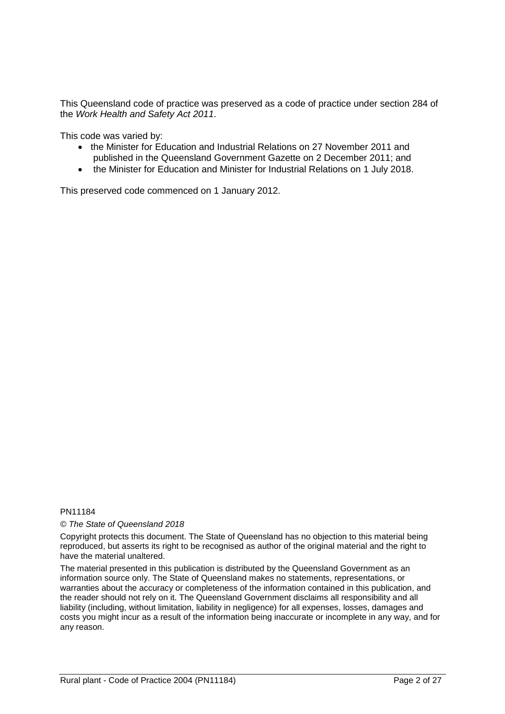This Queensland code of practice was preserved as a code of practice under section 284 of the *Work Health and Safety Act 2011*.

This code was varied by:

- the Minister for Education and Industrial Relations on 27 November 2011 and published in the Queensland Government Gazette on 2 December 2011; and
- the Minister for Education and Minister for Industrial Relations on 1 July 2018.

This preserved code commenced on 1 January 2012.

#### PN11184

*© The State of Queensland 2018*

Copyright protects this document. The State of Queensland has no objection to this material being reproduced, but asserts its right to be recognised as author of the original material and the right to have the material unaltered.

The material presented in this publication is distributed by the Queensland Government as an information source only. The State of Queensland makes no statements, representations, or warranties about the accuracy or completeness of the information contained in this publication, and the reader should not rely on it. The Queensland Government disclaims all responsibility and all liability (including, without limitation, liability in negligence) for all expenses, losses, damages and costs you might incur as a result of the information being inaccurate or incomplete in any way, and for any reason.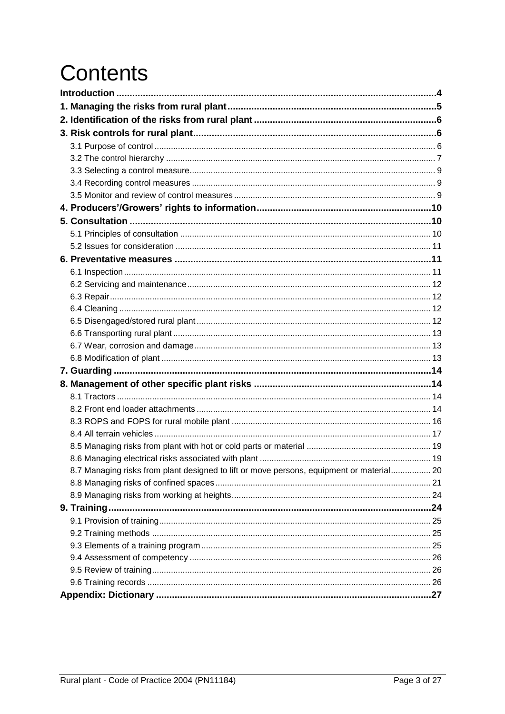# **Contents**

<span id="page-2-0"></span>

| 8.7 Managing risks from plant designed to lift or move persons, equipment or material 20 |  |
|------------------------------------------------------------------------------------------|--|
|                                                                                          |  |
|                                                                                          |  |
|                                                                                          |  |
|                                                                                          |  |
|                                                                                          |  |
|                                                                                          |  |
|                                                                                          |  |
|                                                                                          |  |
|                                                                                          |  |
|                                                                                          |  |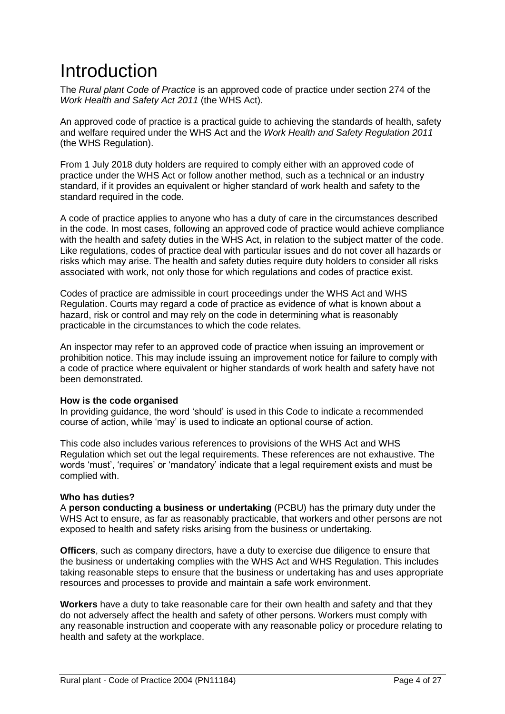## Introduction

The *Rural plant Code of Practice* is an approved code of practice under section 274 of the *Work Health and Safety Act 2011* (the WHS Act).

An approved code of practice is a practical guide to achieving the standards of health, safety and welfare required under the WHS Act and the *Work Health and Safety Regulation 2011* (the WHS Regulation).

From 1 July 2018 duty holders are required to comply either with an approved code of practice under the WHS Act or follow another method, such as a technical or an industry standard, if it provides an equivalent or higher standard of work health and safety to the standard required in the code.

A code of practice applies to anyone who has a duty of care in the circumstances described in the code. In most cases, following an approved code of practice would achieve compliance with the health and safety duties in the WHS Act, in relation to the subject matter of the code. Like regulations, codes of practice deal with particular issues and do not cover all hazards or risks which may arise. The health and safety duties require duty holders to consider all risks associated with work, not only those for which regulations and codes of practice exist.

Codes of practice are admissible in court proceedings under the WHS Act and WHS Regulation. Courts may regard a code of practice as evidence of what is known about a hazard, risk or control and may rely on the code in determining what is reasonably practicable in the circumstances to which the code relates.

An inspector may refer to an approved code of practice when issuing an improvement or prohibition notice. This may include issuing an improvement notice for failure to comply with a code of practice where equivalent or higher standards of work health and safety have not been demonstrated.

#### **How is the code organised**

In providing guidance, the word 'should' is used in this Code to indicate a recommended course of action, while 'may' is used to indicate an optional course of action.

This code also includes various references to provisions of the WHS Act and WHS Regulation which set out the legal requirements. These references are not exhaustive. The words 'must', 'requires' or 'mandatory' indicate that a legal requirement exists and must be complied with.

#### **Who has duties?**

A **person conducting a business or undertaking** (PCBU) has the primary duty under the WHS Act to ensure, as far as reasonably practicable, that workers and other persons are not exposed to health and safety risks arising from the business or undertaking.

**Officers**, such as company directors, have a duty to exercise due diligence to ensure that the business or undertaking complies with the WHS Act and WHS Regulation. This includes taking reasonable steps to ensure that the business or undertaking has and uses appropriate resources and processes to provide and maintain a safe work environment.

**Workers** have a duty to take reasonable care for their own health and safety and that they do not adversely affect the health and safety of other persons. Workers must comply with any reasonable instruction and cooperate with any reasonable policy or procedure relating to health and safety at the workplace.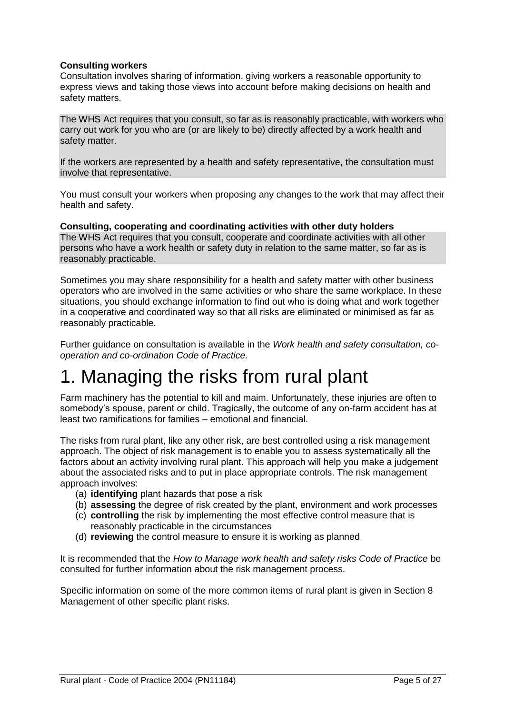#### **Consulting workers**

Consultation involves sharing of information, giving workers a reasonable opportunity to express views and taking those views into account before making decisions on health and safety matters.

The WHS Act requires that you consult, so far as is reasonably practicable, with workers who carry out work for you who are (or are likely to be) directly affected by a work health and safety matter.

If the workers are represented by a health and safety representative, the consultation must involve that representative.

You must consult your workers when proposing any changes to the work that may affect their health and safety.

**Consulting, cooperating and coordinating activities with other duty holders**  The WHS Act requires that you consult, cooperate and coordinate activities with all other persons who have a work health or safety duty in relation to the same matter, so far as is reasonably practicable.

Sometimes you may share responsibility for a health and safety matter with other business operators who are involved in the same activities or who share the same workplace. In these situations, you should exchange information to find out who is doing what and work together in a cooperative and coordinated way so that all risks are eliminated or minimised as far as reasonably practicable.

Further guidance on consultation is available in the *Work health and safety consultation, cooperation and co-ordination Code of Practice.*

## <span id="page-4-0"></span>1. Managing the risks from rural plant

Farm machinery has the potential to kill and maim. Unfortunately, these injuries are often to somebody's spouse, parent or child. Tragically, the outcome of any on-farm accident has at least two ramifications for families – emotional and financial.

The risks from rural plant, like any other risk, are best controlled using a risk management approach. The object of risk management is to enable you to assess systematically all the factors about an activity involving rural plant. This approach will help you make a judgement about the associated risks and to put in place appropriate controls. The risk management approach involves:

- (a) **identifying** plant hazards that pose a risk
- (b) **assessing** the degree of risk created by the plant, environment and work processes
- (c) **controlling** the risk by implementing the most effective control measure that is reasonably practicable in the circumstances
- (d) **reviewing** the control measure to ensure it is working as planned

It is recommended that the *How to Manage work health and safety risks Code of Practice* be consulted for further information about the risk management process.

Specific information on some of the more common items of rural plant is given in Section 8 Management of other specific plant risks.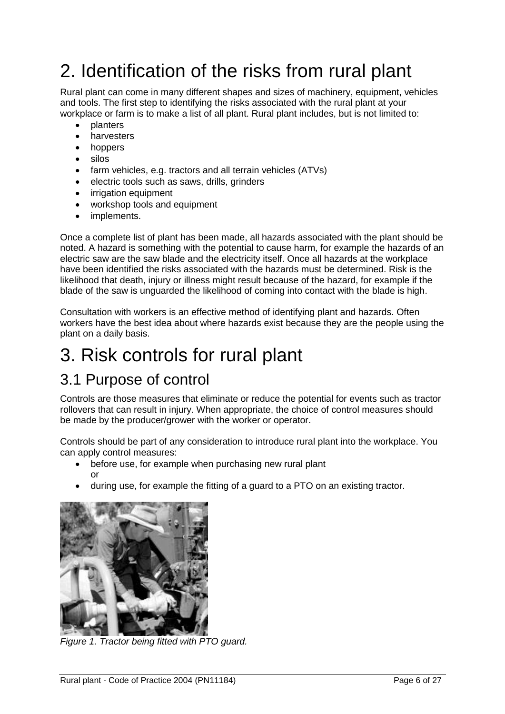## <span id="page-5-0"></span>2. Identification of the risks from rural plant

Rural plant can come in many different shapes and sizes of machinery, equipment, vehicles and tools. The first step to identifying the risks associated with the rural plant at your workplace or farm is to make a list of all plant. Rural plant includes, but is not limited to:

- planters
- harvesters
- hoppers
- silos
- farm vehicles, e.g. tractors and all terrain vehicles (ATVs)
- electric tools such as saws, drills, grinders
- irrigation equipment
- workshop tools and equipment
- implements.

Once a complete list of plant has been made, all hazards associated with the plant should be noted. A hazard is something with the potential to cause harm, for example the hazards of an electric saw are the saw blade and the electricity itself. Once all hazards at the workplace have been identified the risks associated with the hazards must be determined. Risk is the likelihood that death, injury or illness might result because of the hazard, for example if the blade of the saw is unguarded the likelihood of coming into contact with the blade is high.

Consultation with workers is an effective method of identifying plant and hazards. Often workers have the best idea about where hazards exist because they are the people using the plant on a daily basis.

## <span id="page-5-1"></span>3. Risk controls for rural plant

### <span id="page-5-2"></span>3.1 Purpose of control

Controls are those measures that eliminate or reduce the potential for events such as tractor rollovers that can result in injury. When appropriate, the choice of control measures should be made by the producer/grower with the worker or operator.

Controls should be part of any consideration to introduce rural plant into the workplace. You can apply control measures:

- before use, for example when purchasing new rural plant or
- during use, for example the fitting of a guard to a PTO on an existing tractor.



*Figure 1. Tractor being fitted with PTO guard.*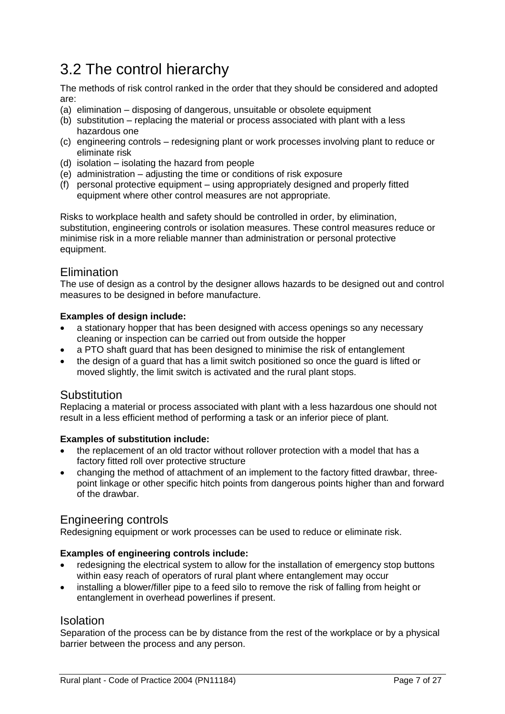### <span id="page-6-0"></span>3.2 The control hierarchy

The methods of risk control ranked in the order that they should be considered and adopted are:

- (a) elimination disposing of dangerous, unsuitable or obsolete equipment
- (b) substitution replacing the material or process associated with plant with a less hazardous one
- (c) engineering controls redesigning plant or work processes involving plant to reduce or eliminate risk
- (d) isolation isolating the hazard from people
- (e) administration adjusting the time or conditions of risk exposure
- (f) personal protective equipment using appropriately designed and properly fitted equipment where other control measures are not appropriate.

Risks to workplace health and safety should be controlled in order, by elimination, substitution, engineering controls or isolation measures. These control measures reduce or minimise risk in a more reliable manner than administration or personal protective equipment.

### Elimination

The use of design as a control by the designer allows hazards to be designed out and control measures to be designed in before manufacture.

#### **Examples of design include:**

- a stationary hopper that has been designed with access openings so any necessary cleaning or inspection can be carried out from outside the hopper
- a PTO shaft guard that has been designed to minimise the risk of entanglement
- the design of a guard that has a limit switch positioned so once the guard is lifted or moved slightly, the limit switch is activated and the rural plant stops.

### Substitution

Replacing a material or process associated with plant with a less hazardous one should not result in a less efficient method of performing a task or an inferior piece of plant.

#### **Examples of substitution include:**

- the replacement of an old tractor without rollover protection with a model that has a factory fitted roll over protective structure
- changing the method of attachment of an implement to the factory fitted drawbar, threepoint linkage or other specific hitch points from dangerous points higher than and forward of the drawbar.

### Engineering controls

Redesigning equipment or work processes can be used to reduce or eliminate risk.

#### **Examples of engineering controls include:**

- redesigning the electrical system to allow for the installation of emergency stop buttons within easy reach of operators of rural plant where entanglement may occur
- installing a blower/filler pipe to a feed silo to remove the risk of falling from height or entanglement in overhead powerlines if present.

#### Isolation

Separation of the process can be by distance from the rest of the workplace or by a physical barrier between the process and any person.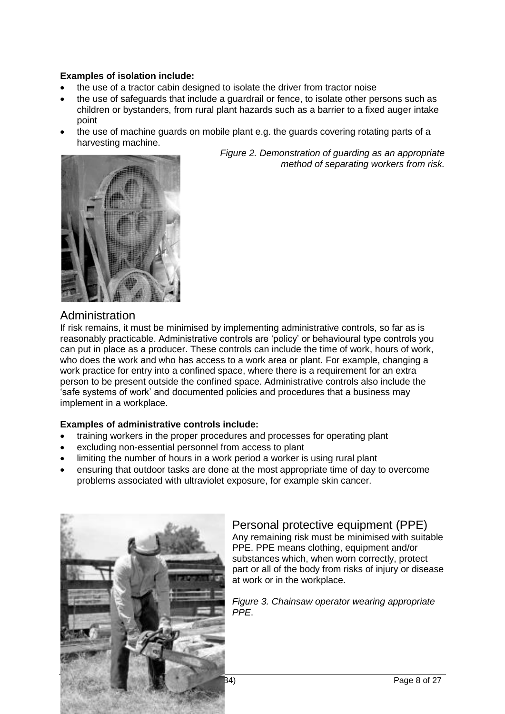#### **Examples of isolation include:**

- the use of a tractor cabin designed to isolate the driver from tractor noise
- the use of safeguards that include a guardrail or fence, to isolate other persons such as children or bystanders, from rural plant hazards such as a barrier to a fixed auger intake point
- the use of machine guards on mobile plant e.g. the guards covering rotating parts of a harvesting machine.



*Figure 2. Demonstration of guarding as an appropriate method of separating workers from risk.*

### Administration

If risk remains, it must be minimised by implementing administrative controls, so far as is reasonably practicable. Administrative controls are 'policy' or behavioural type controls you can put in place as a producer. These controls can include the time of work, hours of work, who does the work and who has access to a work area or plant. For example, changing a work practice for entry into a confined space, where there is a requirement for an extra person to be present outside the confined space. Administrative controls also include the 'safe systems of work' and documented policies and procedures that a business may implement in a workplace.

#### **Examples of administrative controls include:**

- training workers in the proper procedures and processes for operating plant
- excluding non-essential personnel from access to plant
- limiting the number of hours in a work period a worker is using rural plant
- ensuring that outdoor tasks are done at the most appropriate time of day to overcome problems associated with ultraviolet exposure, for example skin cancer.



### Personal protective equipment (PPE)

Any remaining risk must be minimised with suitable PPE. PPE means clothing, equipment and/or substances which, when worn correctly, protect part or all of the body from risks of injury or disease at work or in the workplace.

*Figure 3. Chainsaw operator wearing appropriate PPE*.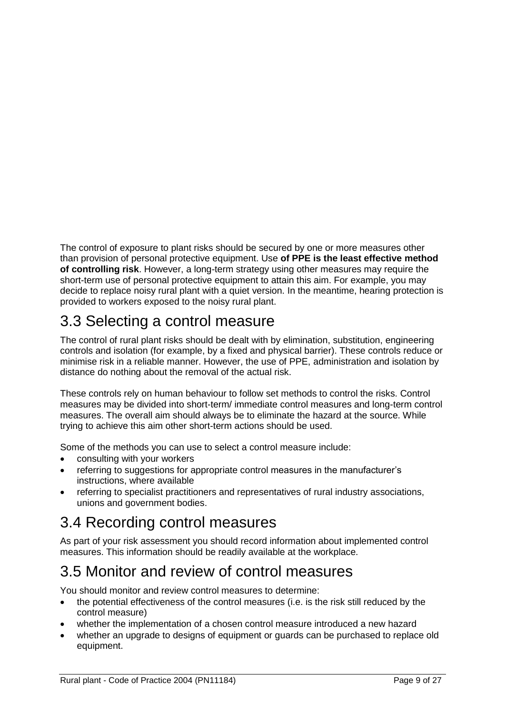The control of exposure to plant risks should be secured by one or more measures other than provision of personal protective equipment. Use **of PPE is the least effective method of controlling risk**. However, a long-term strategy using other measures may require the short-term use of personal protective equipment to attain this aim. For example, you may decide to replace noisy rural plant with a quiet version. In the meantime, hearing protection is provided to workers exposed to the noisy rural plant.

### <span id="page-8-0"></span>3.3 Selecting a control measure

The control of rural plant risks should be dealt with by elimination, substitution, engineering controls and isolation (for example, by a fixed and physical barrier). These controls reduce or minimise risk in a reliable manner. However, the use of PPE, administration and isolation by distance do nothing about the removal of the actual risk.

These controls rely on human behaviour to follow set methods to control the risks. Control measures may be divided into short-term/ immediate control measures and long-term control measures. The overall aim should always be to eliminate the hazard at the source. While trying to achieve this aim other short-term actions should be used.

Some of the methods you can use to select a control measure include:

- consulting with your workers
- referring to suggestions for appropriate control measures in the manufacturer's instructions, where available
- referring to specialist practitioners and representatives of rural industry associations, unions and government bodies.

### <span id="page-8-1"></span>3.4 Recording control measures

As part of your risk assessment you should record information about implemented control measures. This information should be readily available at the workplace.

### <span id="page-8-2"></span>3.5 Monitor and review of control measures

You should monitor and review control measures to determine:

- the potential effectiveness of the control measures (i.e. is the risk still reduced by the control measure)
- whether the implementation of a chosen control measure introduced a new hazard
- whether an upgrade to designs of equipment or guards can be purchased to replace old equipment.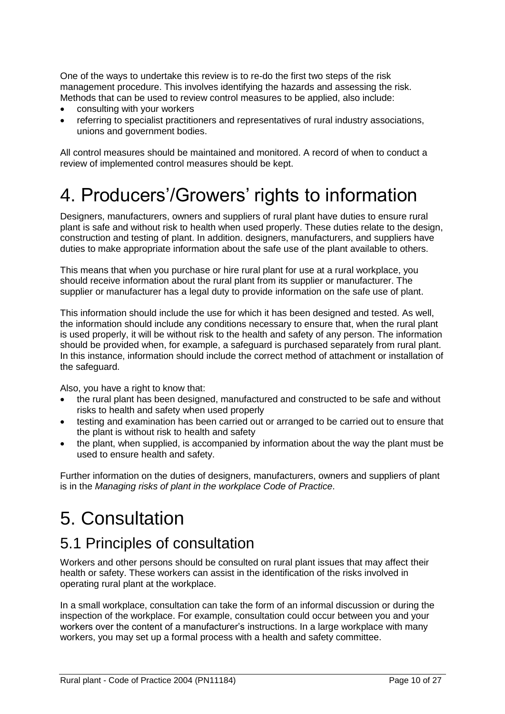One of the ways to undertake this review is to re-do the first two steps of the risk management procedure. This involves identifying the hazards and assessing the risk. Methods that can be used to review control measures to be applied, also include:

- consulting with your workers
- referring to specialist practitioners and representatives of rural industry associations, unions and government bodies.

All control measures should be maintained and monitored. A record of when to conduct a review of implemented control measures should be kept.

## <span id="page-9-0"></span>4. Producers'/Growers' rights to information

Designers, manufacturers, owners and suppliers of rural plant have duties to ensure rural plant is safe and without risk to health when used properly. These duties relate to the design, construction and testing of plant. In addition. designers, manufacturers, and suppliers have duties to make appropriate information about the safe use of the plant available to others.

This means that when you purchase or hire rural plant for use at a rural workplace, you should receive information about the rural plant from its supplier or manufacturer. The supplier or manufacturer has a legal duty to provide information on the safe use of plant.

This information should include the use for which it has been designed and tested. As well, the information should include any conditions necessary to ensure that, when the rural plant is used properly, it will be without risk to the health and safety of any person. The information should be provided when, for example, a safeguard is purchased separately from rural plant. In this instance, information should include the correct method of attachment or installation of the safeguard.

Also, you have a right to know that:

- the rural plant has been designed, manufactured and constructed to be safe and without risks to health and safety when used properly
- testing and examination has been carried out or arranged to be carried out to ensure that the plant is without risk to health and safety
- the plant, when supplied, is accompanied by information about the way the plant must be used to ensure health and safety.

Further information on the duties of designers, manufacturers, owners and suppliers of plant is in the *Managing risks of plant in the workplace Code of Practice*.

## <span id="page-9-1"></span>5. Consultation

### <span id="page-9-2"></span>5.1 Principles of consultation

Workers and other persons should be consulted on rural plant issues that may affect their health or safety. These workers can assist in the identification of the risks involved in operating rural plant at the workplace.

In a small workplace, consultation can take the form of an informal discussion or during the inspection of the workplace. For example, consultation could occur between you and your workers over the content of a manufacturer's instructions. In a large workplace with many workers, you may set up a formal process with a health and safety committee.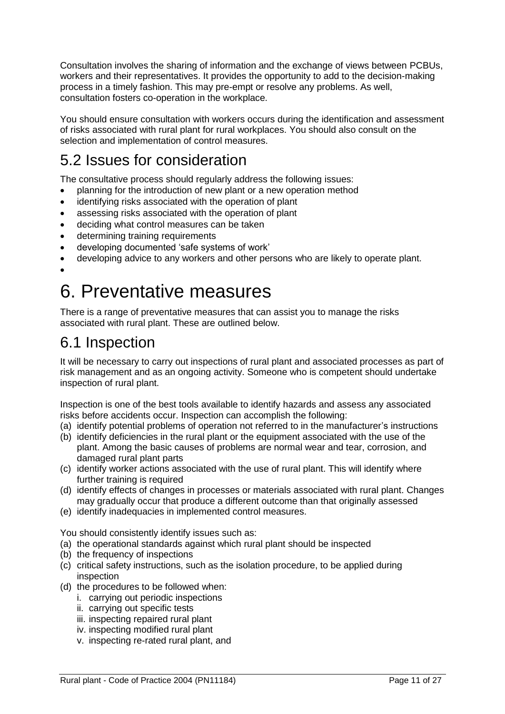Consultation involves the sharing of information and the exchange of views between PCBUs, workers and their representatives. It provides the opportunity to add to the decision-making process in a timely fashion. This may pre-empt or resolve any problems. As well, consultation fosters co-operation in the workplace.

You should ensure consultation with workers occurs during the identification and assessment of risks associated with rural plant for rural workplaces. You should also consult on the selection and implementation of control measures.

### <span id="page-10-0"></span>5.2 Issues for consideration

The consultative process should regularly address the following issues:

- planning for the introduction of new plant or a new operation method
- identifying risks associated with the operation of plant
- assessing risks associated with the operation of plant
- deciding what control measures can be taken
- determining training requirements
- developing documented 'safe systems of work'
- developing advice to any workers and other persons who are likely to operate plant.
- $\bullet$

## <span id="page-10-1"></span>6. Preventative measures

There is a range of preventative measures that can assist you to manage the risks associated with rural plant. These are outlined below.

### <span id="page-10-2"></span>6.1 Inspection

It will be necessary to carry out inspections of rural plant and associated processes as part of risk management and as an ongoing activity. Someone who is competent should undertake inspection of rural plant.

Inspection is one of the best tools available to identify hazards and assess any associated risks before accidents occur. Inspection can accomplish the following:

- (a) identify potential problems of operation not referred to in the manufacturer's instructions
- (b) identify deficiencies in the rural plant or the equipment associated with the use of the plant. Among the basic causes of problems are normal wear and tear, corrosion, and damaged rural plant parts
- (c) identify worker actions associated with the use of rural plant. This will identify where further training is required
- (d) identify effects of changes in processes or materials associated with rural plant. Changes may gradually occur that produce a different outcome than that originally assessed
- (e) identify inadequacies in implemented control measures.

You should consistently identify issues such as:

- (a) the operational standards against which rural plant should be inspected
- (b) the frequency of inspections
- (c) critical safety instructions, such as the isolation procedure, to be applied during inspection
- (d) the procedures to be followed when:
	- i. carrying out periodic inspections
	- ii. carrying out specific tests
	- iii. inspecting repaired rural plant
	- iv. inspecting modified rural plant
	- v. inspecting re-rated rural plant, and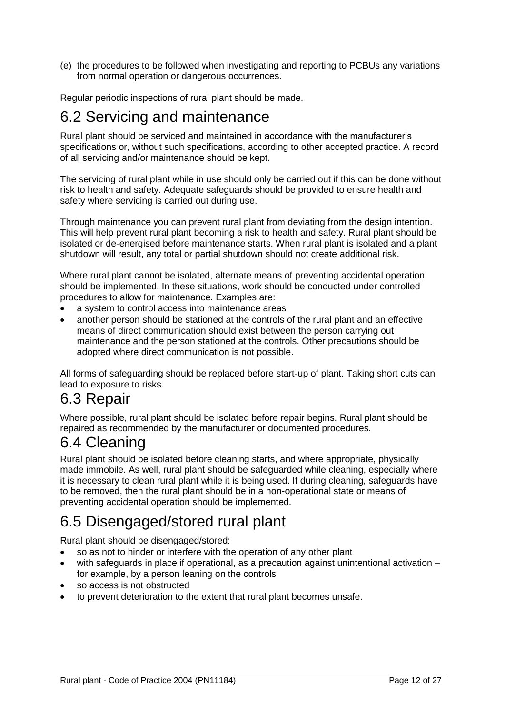(e) the procedures to be followed when investigating and reporting to PCBUs any variations from normal operation or dangerous occurrences.

Regular periodic inspections of rural plant should be made.

### <span id="page-11-0"></span>6.2 Servicing and maintenance

Rural plant should be serviced and maintained in accordance with the manufacturer's specifications or, without such specifications, according to other accepted practice. A record of all servicing and/or maintenance should be kept.

The servicing of rural plant while in use should only be carried out if this can be done without risk to health and safety. Adequate safeguards should be provided to ensure health and safety where servicing is carried out during use.

Through maintenance you can prevent rural plant from deviating from the design intention. This will help prevent rural plant becoming a risk to health and safety. Rural plant should be isolated or de-energised before maintenance starts. When rural plant is isolated and a plant shutdown will result, any total or partial shutdown should not create additional risk.

Where rural plant cannot be isolated, alternate means of preventing accidental operation should be implemented. In these situations, work should be conducted under controlled procedures to allow for maintenance. Examples are:

- a system to control access into maintenance areas
- another person should be stationed at the controls of the rural plant and an effective means of direct communication should exist between the person carrying out maintenance and the person stationed at the controls. Other precautions should be adopted where direct communication is not possible.

All forms of safeguarding should be replaced before start-up of plant. Taking short cuts can lead to exposure to risks.

### <span id="page-11-1"></span>6.3 Repair

Where possible, rural plant should be isolated before repair begins. Rural plant should be repaired as recommended by the manufacturer or documented procedures.

### <span id="page-11-2"></span>6.4 Cleaning

Rural plant should be isolated before cleaning starts, and where appropriate, physically made immobile. As well, rural plant should be safeguarded while cleaning, especially where it is necessary to clean rural plant while it is being used. If during cleaning, safeguards have to be removed, then the rural plant should be in a non-operational state or means of preventing accidental operation should be implemented.

### <span id="page-11-3"></span>6.5 Disengaged/stored rural plant

Rural plant should be disengaged/stored:

- so as not to hinder or interfere with the operation of any other plant
- with safeguards in place if operational, as a precaution against unintentional activation for example, by a person leaning on the controls
- so access is not obstructed
- to prevent deterioration to the extent that rural plant becomes unsafe.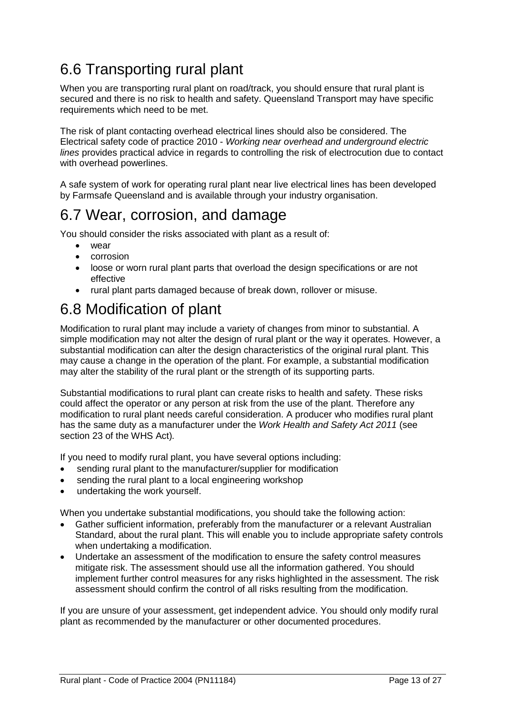### <span id="page-12-0"></span>6.6 Transporting rural plant

When you are transporting rural plant on road/track, you should ensure that rural plant is secured and there is no risk to health and safety. Queensland Transport may have specific requirements which need to be met.

The risk of plant contacting overhead electrical lines should also be considered. The Electrical safety code of practice 2010 - *Working near overhead and underground electric lines* provides practical advice in regards to controlling the risk of electrocution due to contact with overhead powerlines.

A safe system of work for operating rural plant near live electrical lines has been developed by Farmsafe Queensland and is available through your industry organisation.

### <span id="page-12-1"></span>6.7 Wear, corrosion, and damage

You should consider the risks associated with plant as a result of:

- $W<sub>par</sub>$
- corrosion
- loose or worn rural plant parts that overload the design specifications or are not effective
- rural plant parts damaged because of break down, rollover or misuse.

### <span id="page-12-2"></span>6.8 Modification of plant

Modification to rural plant may include a variety of changes from minor to substantial. A simple modification may not alter the design of rural plant or the way it operates. However, a substantial modification can alter the design characteristics of the original rural plant. This may cause a change in the operation of the plant. For example, a substantial modification may alter the stability of the rural plant or the strength of its supporting parts.

Substantial modifications to rural plant can create risks to health and safety. These risks could affect the operator or any person at risk from the use of the plant. Therefore any modification to rural plant needs careful consideration. A producer who modifies rural plant has the same duty as a manufacturer under the *Work Health and Safety Act 2011* (see section 23 of the WHS Act)*.*

If you need to modify rural plant, you have several options including:

- sending rural plant to the manufacturer/supplier for modification
- sending the rural plant to a local engineering workshop
- undertaking the work yourself.

When you undertake substantial modifications, you should take the following action:

- Gather sufficient information, preferably from the manufacturer or a relevant Australian Standard, about the rural plant. This will enable you to include appropriate safety controls when undertaking a modification.
- Undertake an assessment of the modification to ensure the safety control measures mitigate risk. The assessment should use all the information gathered. You should implement further control measures for any risks highlighted in the assessment. The risk assessment should confirm the control of all risks resulting from the modification.

If you are unsure of your assessment, get independent advice. You should only modify rural plant as recommended by the manufacturer or other documented procedures.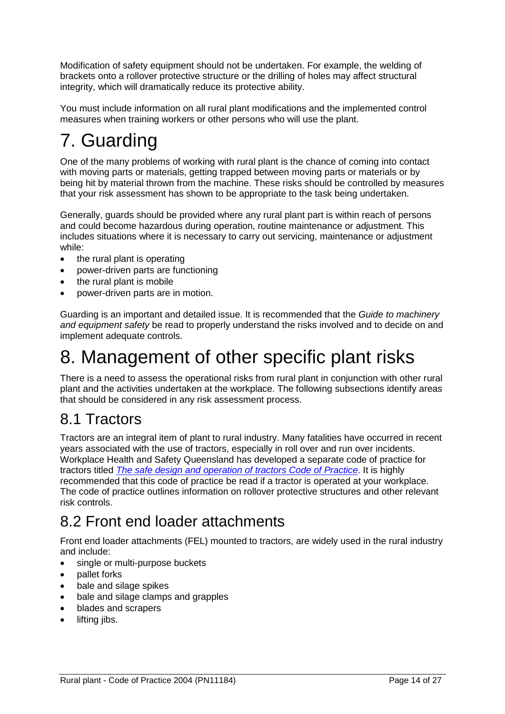Modification of safety equipment should not be undertaken. For example, the welding of brackets onto a rollover protective structure or the drilling of holes may affect structural integrity, which will dramatically reduce its protective ability.

You must include information on all rural plant modifications and the implemented control measures when training workers or other persons who will use the plant.

## <span id="page-13-0"></span>7. Guarding

One of the many problems of working with rural plant is the chance of coming into contact with moving parts or materials, getting trapped between moving parts or materials or by being hit by material thrown from the machine. These risks should be controlled by measures that your risk assessment has shown to be appropriate to the task being undertaken.

Generally, guards should be provided where any rural plant part is within reach of persons and could become hazardous during operation, routine maintenance or adjustment. This includes situations where it is necessary to carry out servicing, maintenance or adjustment while:

- the rural plant is operating
- power-driven parts are functioning
- the rural plant is mobile
- power-driven parts are in motion.

Guarding is an important and detailed issue. It is recommended that the *Guide to machinery and equipment safety* be read to properly understand the risks involved and to decide on and implement adequate controls.

## <span id="page-13-1"></span>8. Management of other specific plant risks

There is a need to assess the operational risks from rural plant in conjunction with other rural plant and the activities undertaken at the workplace. The following subsections identify areas that should be considered in any risk assessment process.

### <span id="page-13-2"></span>8.1 Tractors

Tractors are an integral item of plant to rural industry. Many fatalities have occurred in recent years associated with the use of tractors, especially in roll over and run over incidents. Workplace Health and Safety Queensland has developed a separate code of practice for tractors titled *[The safe design and operation of tractors Code of Practice](http://www.deir.qld.gov.au/workplace/resources/pdfs/tractors_code2005.pdf)*. It is highly recommended that this code of practice be read if a tractor is operated at your workplace. The code of practice outlines information on rollover protective structures and other relevant risk controls.

### <span id="page-13-3"></span>8.2 Front end loader attachments

Front end loader attachments (FEL) mounted to tractors, are widely used in the rural industry and include:

- single or multi-purpose buckets
- pallet forks
- bale and silage spikes
- bale and silage clamps and grapples
- blades and scrapers
- lifting jibs.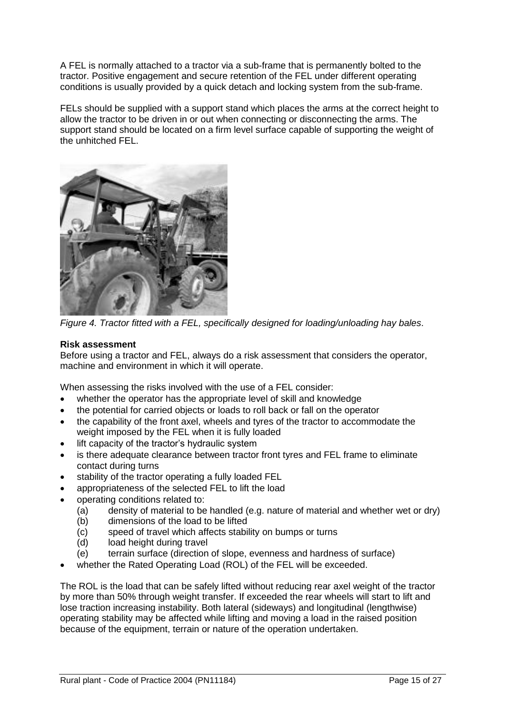A FEL is normally attached to a tractor via a sub-frame that is permanently bolted to the tractor. Positive engagement and secure retention of the FEL under different operating conditions is usually provided by a quick detach and locking system from the sub-frame.

FELs should be supplied with a support stand which places the arms at the correct height to allow the tractor to be driven in or out when connecting or disconnecting the arms. The support stand should be located on a firm level surface capable of supporting the weight of the unhitched FEL.



*Figure 4. Tractor fitted with a FEL, specifically designed for loading/unloading hay bales*.

#### **Risk assessment**

Before using a tractor and FEL, always do a risk assessment that considers the operator, machine and environment in which it will operate.

When assessing the risks involved with the use of a FEL consider:

- whether the operator has the appropriate level of skill and knowledge
- the potential for carried objects or loads to roll back or fall on the operator
- the capability of the front axel, wheels and tyres of the tractor to accommodate the weight imposed by the FEL when it is fully loaded
- lift capacity of the tractor's hydraulic system
- is there adequate clearance between tractor front tyres and FEL frame to eliminate contact during turns
- stability of the tractor operating a fully loaded FEL
- appropriateness of the selected FEL to lift the load
- operating conditions related to:
	- $(a)$  density of material to be handled (e.g. nature of material and whether wet or dry)
	- (b) dimensions of the load to be lifted
	- (c) speed of travel which affects stability on bumps or turns
	- (d) load height during travel
	- (e) terrain surface (direction of slope, evenness and hardness of surface)
- whether the Rated Operating Load (ROL) of the FEL will be exceeded.

The ROL is the load that can be safely lifted without reducing rear axel weight of the tractor by more than 50% through weight transfer. If exceeded the rear wheels will start to lift and lose traction increasing instability. Both lateral (sideways) and longitudinal (lengthwise) operating stability may be affected while lifting and moving a load in the raised position because of the equipment, terrain or nature of the operation undertaken.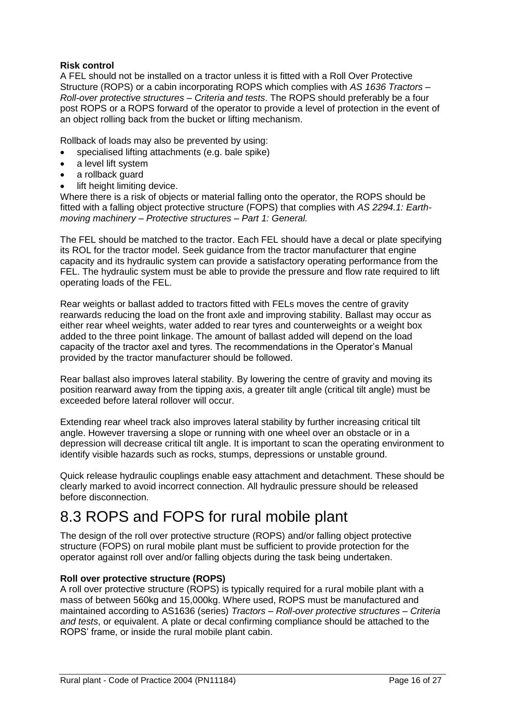#### **Risk control**

A FEL should not be installed on a tractor unless it is fitted with a Roll Over Protective Structure (ROPS) or a cabin incorporating ROPS which complies with *AS 1636 Tractors – Roll-over protective structures – Criteria and tests*. The ROPS should preferably be a four post ROPS or a ROPS forward of the operator to provide a level of protection in the event of an object rolling back from the bucket or lifting mechanism.

Rollback of loads may also be prevented by using:

- specialised lifting attachments (e.g. bale spike)
- a level lift system
- a rollback guard
- lift height limiting device.

Where there is a risk of objects or material falling onto the operator, the ROPS should be fitted with a falling object protective structure (FOPS) that complies with *AS 2294.1: Earthmoving machinery – Protective structures – Part 1: General.*

The FEL should be matched to the tractor. Each FEL should have a decal or plate specifying its ROL for the tractor model. Seek guidance from the tractor manufacturer that engine capacity and its hydraulic system can provide a satisfactory operating performance from the FEL. The hydraulic system must be able to provide the pressure and flow rate required to lift operating loads of the FEL.

Rear weights or ballast added to tractors fitted with FELs moves the centre of gravity rearwards reducing the load on the front axle and improving stability. Ballast may occur as either rear wheel weights, water added to rear tyres and counterweights or a weight box added to the three point linkage. The amount of ballast added will depend on the load capacity of the tractor axel and tyres. The recommendations in the Operator's Manual provided by the tractor manufacturer should be followed.

Rear ballast also improves lateral stability. By lowering the centre of gravity and moving its position rearward away from the tipping axis, a greater tilt angle (critical tilt angle) must be exceeded before lateral rollover will occur.

Extending rear wheel track also improves lateral stability by further increasing critical tilt angle. However traversing a slope or running with one wheel over an obstacle or in a depression will decrease critical tilt angle. It is important to scan the operating environment to identify visible hazards such as rocks, stumps, depressions or unstable ground.

Quick release hydraulic couplings enable easy attachment and detachment. These should be clearly marked to avoid incorrect connection. All hydraulic pressure should be released before disconnection.

### <span id="page-15-0"></span>8.3 ROPS and FOPS for rural mobile plant

The design of the roll over protective structure (ROPS) and/or falling object protective structure (FOPS) on rural mobile plant must be sufficient to provide protection for the operator against roll over and/or falling objects during the task being undertaken.

#### **Roll over protective structure (ROPS)**

A roll over protective structure (ROPS) is typically required for a rural mobile plant with a mass of between 560kg and 15,000kg. Where used, ROPS must be manufactured and maintained according to AS1636 (series) *Tractors – Roll-over protective structures – Criteria and tests*, or equivalent. A plate or decal confirming compliance should be attached to the ROPS' frame, or inside the rural mobile plant cabin.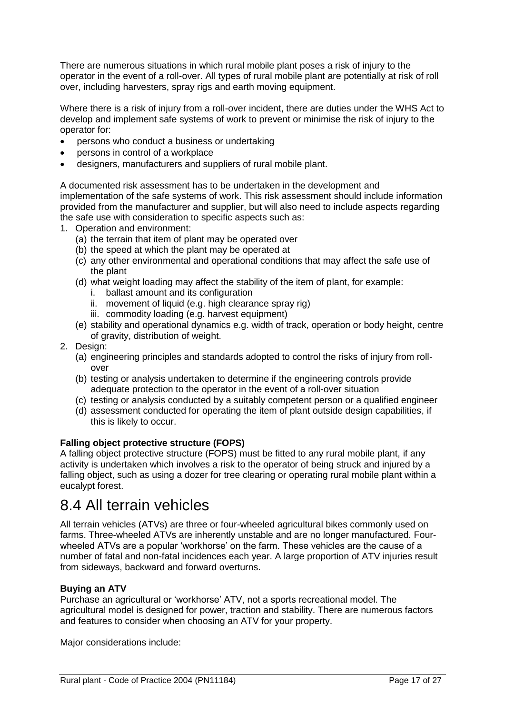There are numerous situations in which rural mobile plant poses a risk of injury to the operator in the event of a roll-over. All types of rural mobile plant are potentially at risk of roll over, including harvesters, spray rigs and earth moving equipment.

Where there is a risk of injury from a roll-over incident, there are duties under the WHS Act to develop and implement safe systems of work to prevent or minimise the risk of injury to the operator for:

- persons who conduct a business or undertaking
- persons in control of a workplace
- designers, manufacturers and suppliers of rural mobile plant.

A documented risk assessment has to be undertaken in the development and implementation of the safe systems of work. This risk assessment should include information provided from the manufacturer and supplier, but will also need to include aspects regarding the safe use with consideration to specific aspects such as:

- 1. Operation and environment:
	- (a) the terrain that item of plant may be operated over
	- (b) the speed at which the plant may be operated at
	- (c) any other environmental and operational conditions that may affect the safe use of the plant
	- (d) what weight loading may affect the stability of the item of plant, for example:
		- i. ballast amount and its configuration
		- ii. movement of liquid (e.g. high clearance spray rig)
		- iii. commodity loading (e.g. harvest equipment)
	- (e) stability and operational dynamics e.g. width of track, operation or body height, centre of gravity, distribution of weight.
- 2. Design:
	- (a) engineering principles and standards adopted to control the risks of injury from rollover
	- (b) testing or analysis undertaken to determine if the engineering controls provide adequate protection to the operator in the event of a roll-over situation
	- (c) testing or analysis conducted by a suitably competent person or a qualified engineer
	- (d) assessment conducted for operating the item of plant outside design capabilities, if this is likely to occur.

#### **Falling object protective structure (FOPS)**

A falling object protective structure (FOPS) must be fitted to any rural mobile plant, if any activity is undertaken which involves a risk to the operator of being struck and injured by a falling object, such as using a dozer for tree clearing or operating rural mobile plant within a eucalypt forest.

### <span id="page-16-0"></span>8.4 All terrain vehicles

All terrain vehicles (ATVs) are three or four-wheeled agricultural bikes commonly used on farms. Three-wheeled ATVs are inherently unstable and are no longer manufactured. Fourwheeled ATVs are a popular 'workhorse' on the farm. These vehicles are the cause of a number of fatal and non-fatal incidences each year. A large proportion of ATV injuries result from sideways, backward and forward overturns.

#### **Buying an ATV**

Purchase an agricultural or 'workhorse' ATV, not a sports recreational model. The agricultural model is designed for power, traction and stability. There are numerous factors and features to consider when choosing an ATV for your property.

Major considerations include: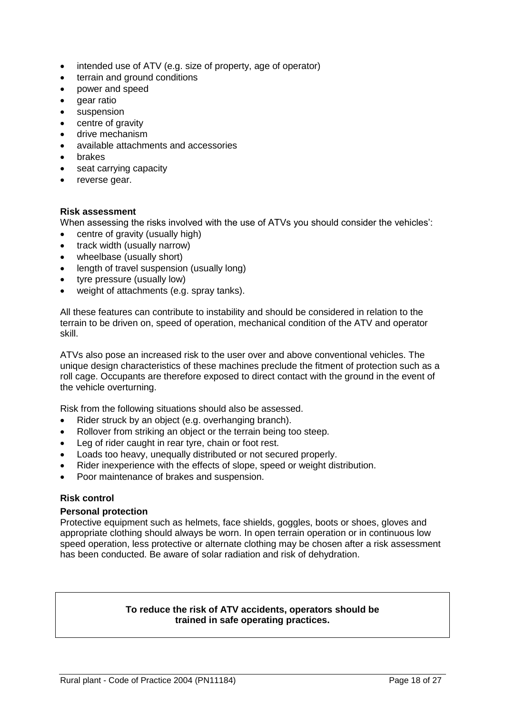- intended use of ATV (e.g. size of property, age of operator)
- terrain and ground conditions
- power and speed
- dear ratio
- suspension
- centre of gravity
- drive mechanism
- available attachments and accessories
- brakes
- seat carrying capacity
- reverse gear.

#### **Risk assessment**

When assessing the risks involved with the use of ATVs you should consider the vehicles':

- centre of gravity (usually high)
- track width (usually narrow)
- wheelbase (usually short)
- length of travel suspension (usually long)
- tyre pressure (usually low)
- weight of attachments (e.g. spray tanks).

All these features can contribute to instability and should be considered in relation to the terrain to be driven on, speed of operation, mechanical condition of the ATV and operator skill.

ATVs also pose an increased risk to the user over and above conventional vehicles. The unique design characteristics of these machines preclude the fitment of protection such as a roll cage. Occupants are therefore exposed to direct contact with the ground in the event of the vehicle overturning.

Risk from the following situations should also be assessed.

- Rider struck by an object (e.g. overhanging branch).
- Rollover from striking an object or the terrain being too steep.
- Leg of rider caught in rear tyre, chain or foot rest.
- Loads too heavy, unequally distributed or not secured properly.
- Rider inexperience with the effects of slope, speed or weight distribution.
- Poor maintenance of brakes and suspension.

#### **Risk control**

#### **Personal protection**

Protective equipment such as helmets, face shields, goggles, boots or shoes, gloves and appropriate clothing should always be worn. In open terrain operation or in continuous low speed operation, less protective or alternate clothing may be chosen after a risk assessment has been conducted. Be aware of solar radiation and risk of dehydration.

#### **To reduce the risk of ATV accidents, operators should be trained in safe operating practices.**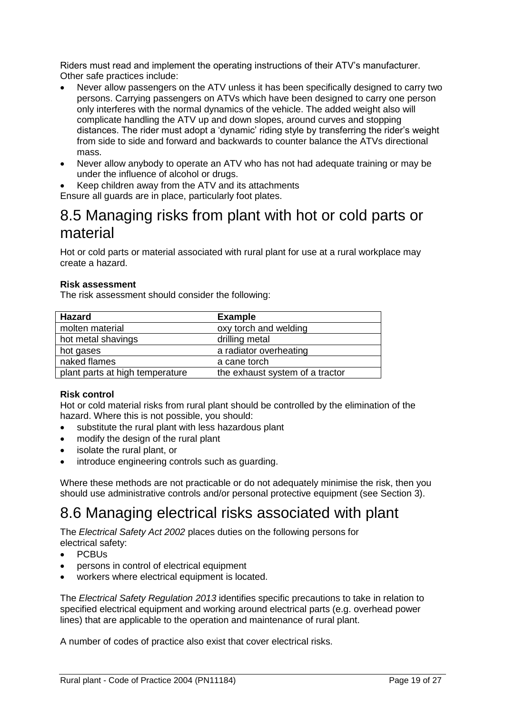Riders must read and implement the operating instructions of their ATV's manufacturer. Other safe practices include:

- Never allow passengers on the ATV unless it has been specifically designed to carry two persons. Carrying passengers on ATVs which have been designed to carry one person only interferes with the normal dynamics of the vehicle. The added weight also will complicate handling the ATV up and down slopes, around curves and stopping distances. The rider must adopt a 'dynamic' riding style by transferring the rider's weight from side to side and forward and backwards to counter balance the ATVs directional mass.
- Never allow anybody to operate an ATV who has not had adequate training or may be under the influence of alcohol or drugs.
- Keep children away from the ATV and its attachments

Ensure all guards are in place, particularly foot plates.

### <span id="page-18-0"></span>8.5 Managing risks from plant with hot or cold parts or material

Hot or cold parts or material associated with rural plant for use at a rural workplace may create a hazard.

#### **Risk assessment**

The risk assessment should consider the following:

| <b>Hazard</b>                   | <b>Example</b>                  |
|---------------------------------|---------------------------------|
| molten material                 | oxy torch and welding           |
| hot metal shavings              | drilling metal                  |
| hot gases                       | a radiator overheating          |
| naked flames                    | a cane torch                    |
| plant parts at high temperature | the exhaust system of a tractor |

#### **Risk control**

Hot or cold material risks from rural plant should be controlled by the elimination of the hazard. Where this is not possible, you should:

- substitute the rural plant with less hazardous plant
- modify the design of the rural plant
- isolate the rural plant, or
- introduce engineering controls such as guarding.

Where these methods are not practicable or do not adequately minimise the risk, then you should use administrative controls and/or personal protective equipment (see Section 3).

### <span id="page-18-1"></span>8.6 Managing electrical risks associated with plant

The *Electrical Safety Act 2002* places duties on the following persons for electrical safety:

- PCBUs
- persons in control of electrical equipment
- workers where electrical equipment is located.

The *Electrical Safety Regulation 2013* identifies specific precautions to take in relation to specified electrical equipment and working around electrical parts (e.g. overhead power lines) that are applicable to the operation and maintenance of rural plant.

A number of codes of practice also exist that cover electrical risks.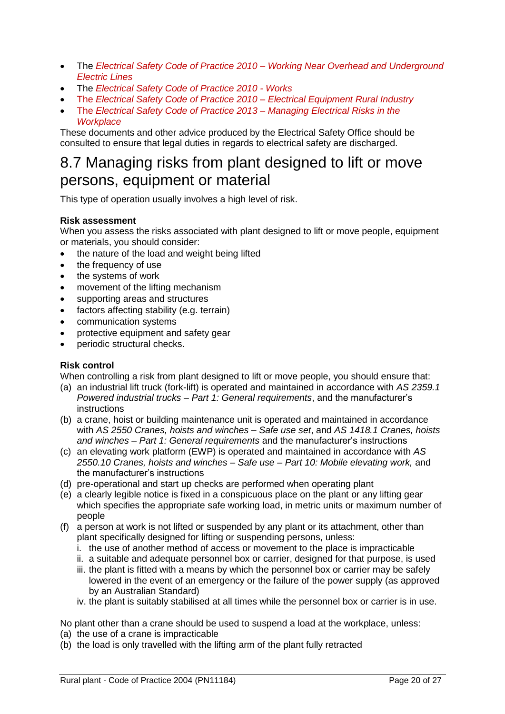- The *Electrical Safety Code of Practice 2010 – Working Near Overhead and Underground Electric Lines*
- The *Electrical Safety Code of Practice 2010 - Works*
- The *Electrical Safety Code of Practice 2010 – Electrical Equipment Rural Industry*
- The *Electrical Safety Code of Practice 2013 – Managing Electrical Risks in the Workplace*

These documents and other advice produced by the Electrical Safety Office should be consulted to ensure that legal duties in regards to electrical safety are discharged.

### <span id="page-19-0"></span>8.7 Managing risks from plant designed to lift or move persons, equipment or material

This type of operation usually involves a high level of risk.

#### **Risk assessment**

When you assess the risks associated with plant designed to lift or move people, equipment or materials, you should consider:

- the nature of the load and weight being lifted
- the frequency of use
- the systems of work
- movement of the lifting mechanism
- supporting areas and structures
- factors affecting stability (e.g. terrain)
- communication systems
- protective equipment and safety gear
- periodic structural checks.

#### **Risk control**

When controlling a risk from plant designed to lift or move people, you should ensure that:

- (a) an industrial lift truck (fork-lift) is operated and maintained in accordance with *AS 2359.1 Powered industrial trucks – Part 1: General requirements*, and the manufacturer's instructions
- (b) a crane, hoist or building maintenance unit is operated and maintained in accordance with *AS 2550 Cranes, hoists and winches – Safe use set*, and *AS 1418.1 Cranes, hoists and winches – Part 1: General requirements* and the manufacturer's instructions
- (c) an elevating work platform (EWP) is operated and maintained in accordance with *AS 2550.10 Cranes, hoists and winches – Safe use – Part 10: Mobile elevating work,* and the manufacturer's instructions
- (d) pre-operational and start up checks are performed when operating plant
- (e) a clearly legible notice is fixed in a conspicuous place on the plant or any lifting gear which specifies the appropriate safe working load, in metric units or maximum number of people
- (f) a person at work is not lifted or suspended by any plant or its attachment, other than plant specifically designed for lifting or suspending persons, unless:
	- i. the use of another method of access or movement to the place is impracticable
	- ii. a suitable and adequate personnel box or carrier, designed for that purpose, is used
	- iii. the plant is fitted with a means by which the personnel box or carrier may be safely lowered in the event of an emergency or the failure of the power supply (as approved by an Australian Standard)
	- iv. the plant is suitably stabilised at all times while the personnel box or carrier is in use.

No plant other than a crane should be used to suspend a load at the workplace, unless:

- (a) the use of a crane is impracticable
- (b) the load is only travelled with the lifting arm of the plant fully retracted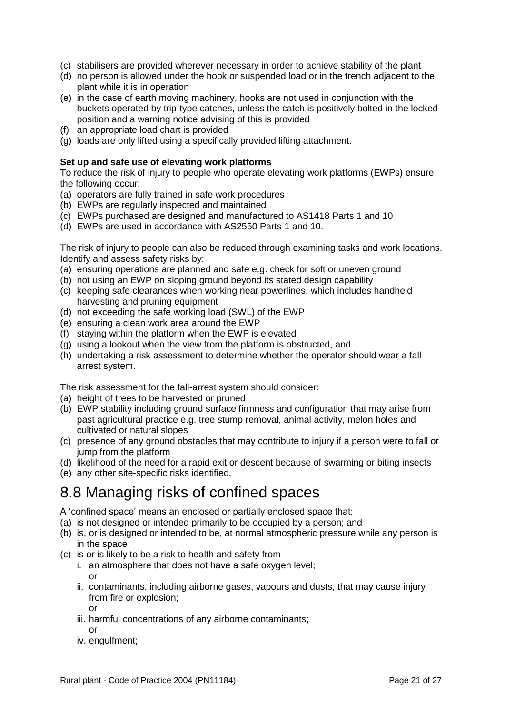- (c) stabilisers are provided wherever necessary in order to achieve stability of the plant
- (d) no person is allowed under the hook or suspended load or in the trench adjacent to the plant while it is in operation
- (e) in the case of earth moving machinery, hooks are not used in conjunction with the buckets operated by trip-type catches, unless the catch is positively bolted in the locked position and a warning notice advising of this is provided
- (f) an appropriate load chart is provided
- (g) loads are only lifted using a specifically provided lifting attachment.

#### **Set up and safe use of elevating work platforms**

To reduce the risk of injury to people who operate elevating work platforms (EWPs) ensure the following occur:

- (a) operators are fully trained in safe work procedures
- (b) EWPs are regularly inspected and maintained
- (c) EWPs purchased are designed and manufactured to AS1418 Parts 1 and 10
- (d) EWPs are used in accordance with AS2550 Parts 1 and 10.

The risk of injury to people can also be reduced through examining tasks and work locations. Identify and assess safety risks by:

- (a) ensuring operations are planned and safe e.g. check for soft or uneven ground
- (b) not using an EWP on sloping ground beyond its stated design capability
- (c) keeping safe clearances when working near powerlines, which includes handheld harvesting and pruning equipment
- (d) not exceeding the safe working load (SWL) of the EWP
- (e) ensuring a clean work area around the EWP
- (f) staying within the platform when the EWP is elevated
- (g) using a lookout when the view from the platform is obstructed, and
- (h) undertaking a risk assessment to determine whether the operator should wear a fall arrest system.

The risk assessment for the fall-arrest system should consider:

- (a) height of trees to be harvested or pruned
- (b) EWP stability including ground surface firmness and configuration that may arise from past agricultural practice e.g. tree stump removal, animal activity, melon holes and cultivated or natural slopes
- (c) presence of any ground obstacles that may contribute to injury if a person were to fall or jump from the platform
- (d) likelihood of the need for a rapid exit or descent because of swarming or biting insects
- (e) any other site-specific risks identified.

### <span id="page-20-0"></span>8.8 Managing risks of confined spaces

A 'confined space' means an enclosed or partially enclosed space that:

- (a) is not designed or intended primarily to be occupied by a person; and
- (b) is, or is designed or intended to be, at normal atmospheric pressure while any person is in the space
- (c) is or is likely to be a risk to health and safety from
	- i. an atmosphere that does not have a safe oxygen level; or
	- ii. contaminants, including airborne gases, vapours and dusts, that may cause injury from fire or explosion;
		- or
	- iii. harmful concentrations of any airborne contaminants;
		- or
	- iv. engulfment;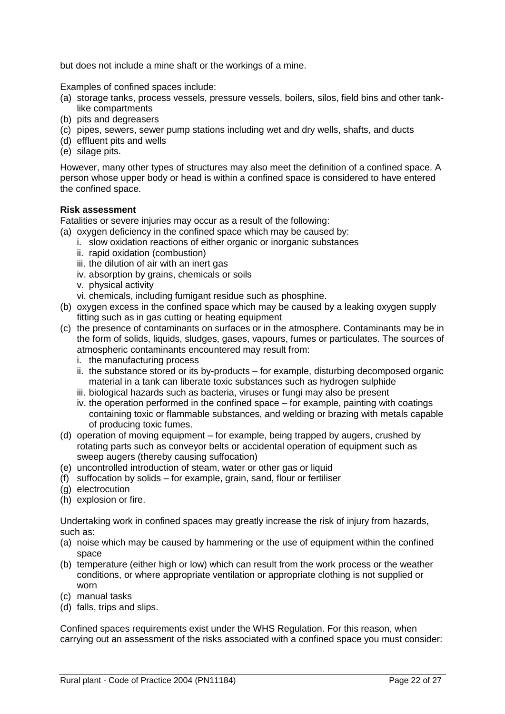but does not include a mine shaft or the workings of a mine.

Examples of confined spaces include:

- (a) storage tanks, process vessels, pressure vessels, boilers, silos, field bins and other tanklike compartments
- (b) pits and degreasers
- (c) pipes, sewers, sewer pump stations including wet and dry wells, shafts, and ducts
- (d) effluent pits and wells
- (e) silage pits.

However, many other types of structures may also meet the definition of a confined space. A person whose upper body or head is within a confined space is considered to have entered the confined space.

#### **Risk assessment**

Fatalities or severe injuries may occur as a result of the following:

(a) oxygen deficiency in the confined space which may be caused by:

- i. slow oxidation reactions of either organic or inorganic substances
- ii. rapid oxidation (combustion)
- iii. the dilution of air with an inert gas
- iv. absorption by grains, chemicals or soils
- v. physical activity
- vi. chemicals, including fumigant residue such as phosphine.
- (b) oxygen excess in the confined space which may be caused by a leaking oxygen supply fitting such as in gas cutting or heating equipment
- (c) the presence of contaminants on surfaces or in the atmosphere. Contaminants may be in the form of solids, liquids, sludges, gases, vapours, fumes or particulates. The sources of atmospheric contaminants encountered may result from:
	- i. the manufacturing process
	- ii. the substance stored or its by-products for example, disturbing decomposed organic material in a tank can liberate toxic substances such as hydrogen sulphide
	- iii. biological hazards such as bacteria, viruses or fungi may also be present
	- iv. the operation performed in the confined space for example, painting with coatings containing toxic or flammable substances, and welding or brazing with metals capable of producing toxic fumes.
- (d) operation of moving equipment for example, being trapped by augers, crushed by rotating parts such as conveyor belts or accidental operation of equipment such as sweep augers (thereby causing suffocation)
- (e) uncontrolled introduction of steam, water or other gas or liquid
- (f) suffocation by solids for example, grain, sand, flour or fertiliser
- (g) electrocution
- (h) explosion or fire.

Undertaking work in confined spaces may greatly increase the risk of injury from hazards, such as:

- (a) noise which may be caused by hammering or the use of equipment within the confined space
- (b) temperature (either high or low) which can result from the work process or the weather conditions, or where appropriate ventilation or appropriate clothing is not supplied or worn
- (c) manual tasks
- (d) falls, trips and slips.

Confined spaces requirements exist under the WHS Regulation. For this reason, when carrying out an assessment of the risks associated with a confined space you must consider: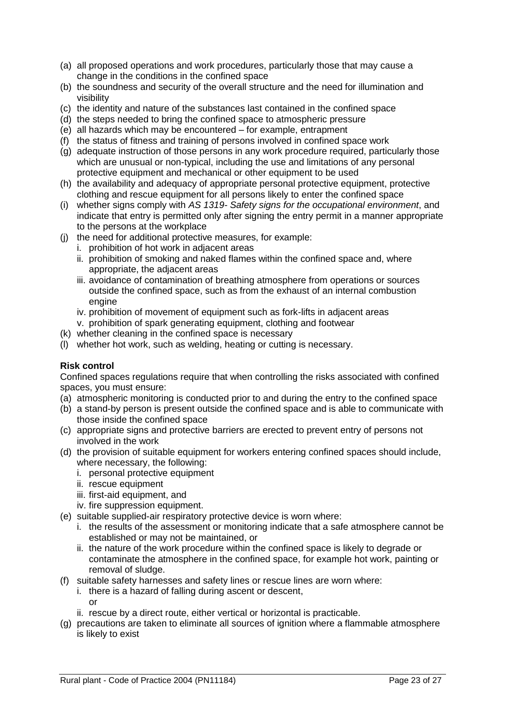- (a) all proposed operations and work procedures, particularly those that may cause a change in the conditions in the confined space
- (b) the soundness and security of the overall structure and the need for illumination and visibility
- (c) the identity and nature of the substances last contained in the confined space
- (d) the steps needed to bring the confined space to atmospheric pressure
- (e) all hazards which may be encountered for example, entrapment
- (f) the status of fitness and training of persons involved in confined space work
- (g) adequate instruction of those persons in any work procedure required, particularly those which are unusual or non-typical, including the use and limitations of any personal protective equipment and mechanical or other equipment to be used
- (h) the availability and adequacy of appropriate personal protective equipment, protective clothing and rescue equipment for all persons likely to enter the confined space
- (i) whether signs comply with *AS 1319- Safety signs for the occupational environment*, and indicate that entry is permitted only after signing the entry permit in a manner appropriate to the persons at the workplace
- (j) the need for additional protective measures, for example:
	- i. prohibition of hot work in adjacent areas
	- ii. prohibition of smoking and naked flames within the confined space and, where appropriate, the adjacent areas
	- iii. avoidance of contamination of breathing atmosphere from operations or sources outside the confined space, such as from the exhaust of an internal combustion engine
	- iv. prohibition of movement of equipment such as fork-lifts in adjacent areas
	- v. prohibition of spark generating equipment, clothing and footwear
- (k) whether cleaning in the confined space is necessary
- (l) whether hot work, such as welding, heating or cutting is necessary.

#### **Risk control**

Confined spaces regulations require that when controlling the risks associated with confined spaces, you must ensure:

- (a) atmospheric monitoring is conducted prior to and during the entry to the confined space
- (b) a stand-by person is present outside the confined space and is able to communicate with those inside the confined space
- (c) appropriate signs and protective barriers are erected to prevent entry of persons not involved in the work
- (d) the provision of suitable equipment for workers entering confined spaces should include, where necessary, the following:
	- i. personal protective equipment
	- ii. rescue equipment
	- iii. first-aid equipment, and
	- iv. fire suppression equipment.
- (e) suitable supplied-air respiratory protective device is worn where:
	- i. the results of the assessment or monitoring indicate that a safe atmosphere cannot be established or may not be maintained, or
	- ii. the nature of the work procedure within the confined space is likely to degrade or contaminate the atmosphere in the confined space, for example hot work, painting or removal of sludge.
- (f) suitable safety harnesses and safety lines or rescue lines are worn where:
	- i. there is a hazard of falling during ascent or descent,
		- or
- ii. rescue by a direct route, either vertical or horizontal is practicable.
- (g) precautions are taken to eliminate all sources of ignition where a flammable atmosphere is likely to exist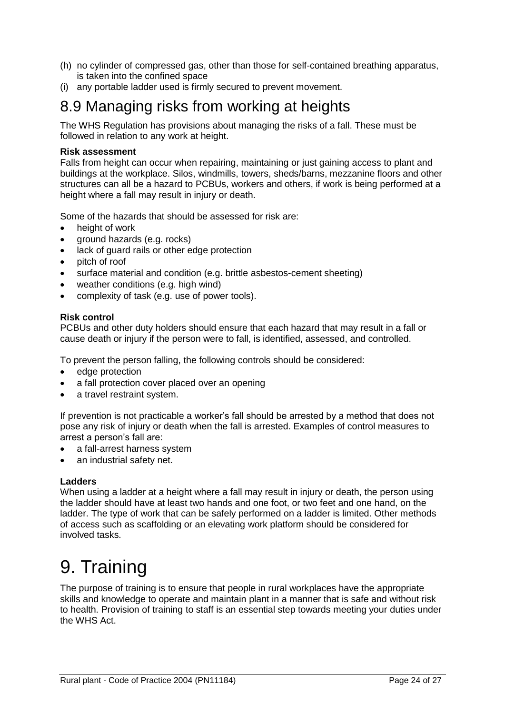- (h) no cylinder of compressed gas, other than those for self-contained breathing apparatus, is taken into the confined space
- (i) any portable ladder used is firmly secured to prevent movement.

### <span id="page-23-0"></span>8.9 Managing risks from working at heights

The WHS Regulation has provisions about managing the risks of a fall. These must be followed in relation to any work at height.

#### **Risk assessment**

Falls from height can occur when repairing, maintaining or just gaining access to plant and buildings at the workplace. Silos, windmills, towers, sheds/barns, mezzanine floors and other structures can all be a hazard to PCBUs, workers and others, if work is being performed at a height where a fall may result in injury or death.

Some of the hazards that should be assessed for risk are:

- height of work
- ground hazards (e.g. rocks)
- lack of quard rails or other edge protection
- pitch of roof
- surface material and condition (e.g. brittle asbestos-cement sheeting)
- weather conditions (e.g. high wind)
- complexity of task (e.g. use of power tools).

#### **Risk control**

PCBUs and other duty holders should ensure that each hazard that may result in a fall or cause death or injury if the person were to fall, is identified, assessed, and controlled.

To prevent the person falling, the following controls should be considered:

- edge protection
- a fall protection cover placed over an opening
- a travel restraint system.

If prevention is not practicable a worker's fall should be arrested by a method that does not pose any risk of injury or death when the fall is arrested. Examples of control measures to arrest a person's fall are:

- a fall-arrest harness system
- an industrial safety net.

#### **Ladders**

When using a ladder at a height where a fall may result in injury or death, the person using the ladder should have at least two hands and one foot, or two feet and one hand, on the ladder. The type of work that can be safely performed on a ladder is limited. Other methods of access such as scaffolding or an elevating work platform should be considered for involved tasks.

## <span id="page-23-1"></span>9. Training

The purpose of training is to ensure that people in rural workplaces have the appropriate skills and knowledge to operate and maintain plant in a manner that is safe and without risk to health. Provision of training to staff is an essential step towards meeting your duties under the WHS Act.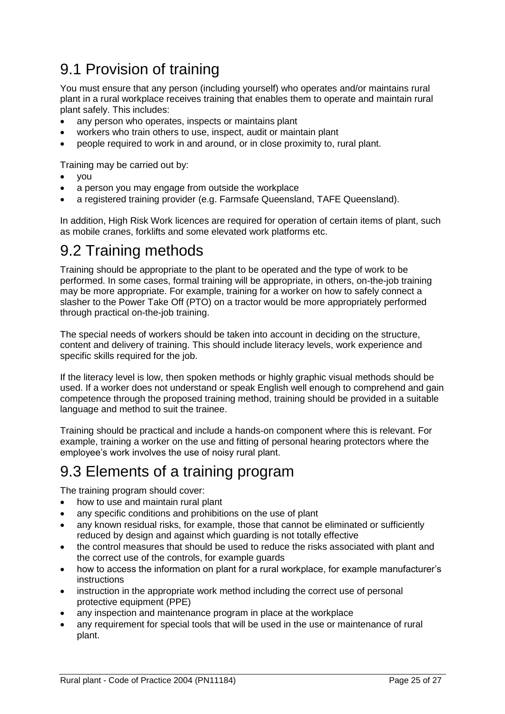### <span id="page-24-0"></span>9.1 Provision of training

You must ensure that any person (including yourself) who operates and/or maintains rural plant in a rural workplace receives training that enables them to operate and maintain rural plant safely. This includes:

- any person who operates, inspects or maintains plant
- workers who train others to use, inspect, audit or maintain plant
- people required to work in and around, or in close proximity to, rural plant.

Training may be carried out by:

- vou
- a person you may engage from outside the workplace
- a registered training provider (e.g. Farmsafe Queensland, TAFE Queensland).

In addition, High Risk Work licences are required for operation of certain items of plant, such as mobile cranes, forklifts and some elevated work platforms etc.

### <span id="page-24-1"></span>9.2 Training methods

Training should be appropriate to the plant to be operated and the type of work to be performed. In some cases, formal training will be appropriate, in others, on-the-job training may be more appropriate. For example, training for a worker on how to safely connect a slasher to the Power Take Off (PTO) on a tractor would be more appropriately performed through practical on-the-job training.

The special needs of workers should be taken into account in deciding on the structure, content and delivery of training. This should include literacy levels, work experience and specific skills required for the job.

If the literacy level is low, then spoken methods or highly graphic visual methods should be used. If a worker does not understand or speak English well enough to comprehend and gain competence through the proposed training method, training should be provided in a suitable language and method to suit the trainee.

Training should be practical and include a hands-on component where this is relevant. For example, training a worker on the use and fitting of personal hearing protectors where the employee's work involves the use of noisy rural plant.

### <span id="page-24-2"></span>9.3 Elements of a training program

The training program should cover:

- how to use and maintain rural plant
- any specific conditions and prohibitions on the use of plant
- any known residual risks, for example, those that cannot be eliminated or sufficiently reduced by design and against which guarding is not totally effective
- the control measures that should be used to reduce the risks associated with plant and the correct use of the controls, for example guards
- how to access the information on plant for a rural workplace, for example manufacturer's instructions
- instruction in the appropriate work method including the correct use of personal protective equipment (PPE)
- any inspection and maintenance program in place at the workplace
- any requirement for special tools that will be used in the use or maintenance of rural plant.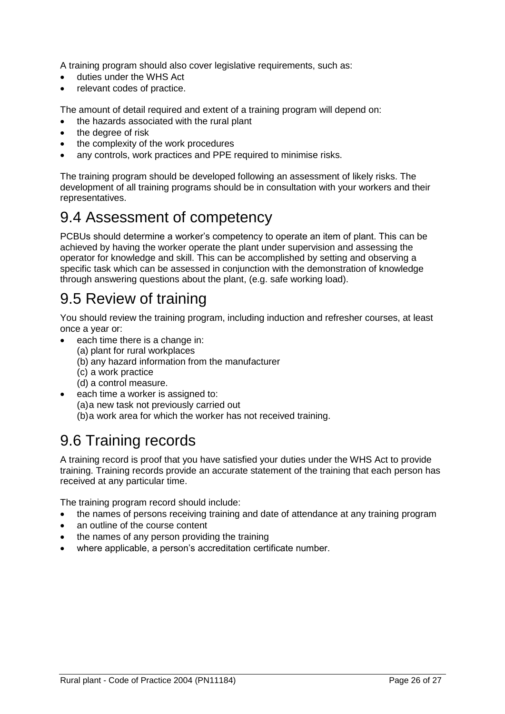A training program should also cover legislative requirements, such as:

- duties under the WHS Act
- relevant codes of practice.

The amount of detail required and extent of a training program will depend on:

- the hazards associated with the rural plant
- the degree of risk
- the complexity of the work procedures
- any controls, work practices and PPE required to minimise risks.

The training program should be developed following an assessment of likely risks. The development of all training programs should be in consultation with your workers and their representatives.

### <span id="page-25-0"></span>9.4 Assessment of competency

PCBUs should determine a worker's competency to operate an item of plant. This can be achieved by having the worker operate the plant under supervision and assessing the operator for knowledge and skill. This can be accomplished by setting and observing a specific task which can be assessed in conjunction with the demonstration of knowledge through answering questions about the plant, (e.g. safe working load).

### <span id="page-25-1"></span>9.5 Review of training

You should review the training program, including induction and refresher courses, at least once a year or:

- each time there is a change in:
	- (a) plant for rural workplaces
	- (b) any hazard information from the manufacturer
	- (c) a work practice
	- (d) a control measure.
- each time a worker is assigned to: (a)a new task not previously carried out (b)a work area for which the worker has not received training.

### <span id="page-25-2"></span>9.6 Training records

A training record is proof that you have satisfied your duties under the WHS Act to provide training. Training records provide an accurate statement of the training that each person has received at any particular time.

The training program record should include:

- the names of persons receiving training and date of attendance at any training program
- an outline of the course content
- the names of any person providing the training
- where applicable, a person's accreditation certificate number.